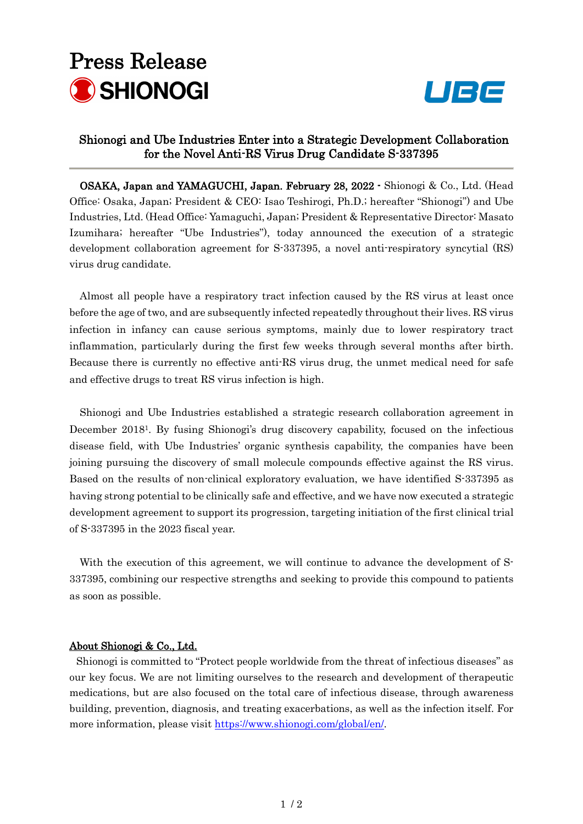## Press Release SHIONOGI



### Shionogi and Ube Industries Enter into a Strategic Development Collaboration for the Novel Anti-RS Virus Drug Candidate S-337395

OSAKA, Japan and YAMAGUCHI, Japan. February 28, 2022 - Shionogi & Co., Ltd. (Head Office: Osaka, Japan; President & CEO: Isao Teshirogi, Ph.D.; hereafter "Shionogi") and Ube Industries, Ltd. (Head Office: Yamaguchi, Japan; President & Representative Director: Masato Izumihara; hereafter "Ube Industries"), today announced the execution of a strategic development collaboration agreement for S-337395, a novel anti-respiratory syncytial (RS) virus drug candidate.

Almost all people have a respiratory tract infection caused by the RS virus at least once before the age of two, and are subsequently infected repeatedly throughout their lives. RS virus infection in infancy can cause serious symptoms, mainly due to lower respiratory tract inflammation, particularly during the first few weeks through several months after birth. Because there is currently no effective anti-RS virus drug, the unmet medical need for safe and effective drugs to treat RS virus infection is high.

Shionogi and Ube Industries established a strategic research collaboration agreement in December 20181. By fusing Shionogi's drug discovery capability, focused on the infectious disease field, with Ube Industries' organic synthesis capability, the companies have been joining pursuing the discovery of small molecule compounds effective against the RS virus. Based on the results of non-clinical exploratory evaluation, we have identified S-337395 as having strong potential to be clinically safe and effective, and we have now executed a strategic development agreement to support its progression, targeting initiation of the first clinical trial of S-337395 in the 2023 fiscal year.

With the execution of this agreement, we will continue to advance the development of S-337395, combining our respective strengths and seeking to provide this compound to patients as soon as possible.

#### About Shionogi & Co., Ltd.

Shionogi is committed to "Protect people worldwide from the threat of infectious diseases" as our key focus. We are not limiting ourselves to the research and development of therapeutic medications, but are also focused on the total care of infectious disease, through awareness building, prevention, diagnosis, and treating exacerbations, as well as the infection itself. For more information, please visit [https://www.shionogi.com/global/en/.](https://www.shionogi.com/global/en/)